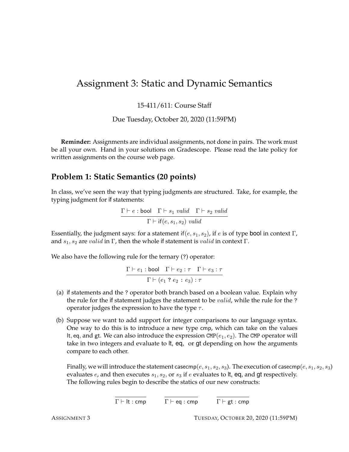# Assignment 3: Static and Dynamic Semantics

15-411/611: Course Staff

Due Tuesday, October 20, 2020 (11:59PM)

**Reminder:** Assignments are individual assignments, not done in pairs. The work must be all your own. Hand in your solutions on Gradescope. Please read the late policy for written assignments on the course web page.

## **Problem 1: Static Semantics (20 points)**

In class, we've seen the way that typing judgments are structured. Take, for example, the typing judgment for if statements:

$$
\frac{\Gamma \vdash e : \text{bool} \quad \Gamma \vdash s_1 \ \text{valid} \quad \Gamma \vdash s_2 \ \text{valid}}{\Gamma \vdash \text{if}(e, s_1, s_2) \ \text{valid}}
$$

Essentially, the judgment says: for a statement if  $(e, s_1, s_2)$ , if e is of type bool in context Γ, and  $s_1, s_2$  are valid in Γ, then the whole if statement is valid in context Γ.

We also have the following rule for the ternary (?) operator:

 $\Gamma \vdash e_1 :$  bool  $\Gamma \vdash e_2 : \tau \quad \Gamma \vdash e_3 : \tau$  $\Gamma \vdash (e_1\mathrel{?} e_2 : e_3) : \tau$ 

- (a) if statements and the ? operator both branch based on a boolean value. Explain why the rule for the if statement judges the statement to be *valid*, while the rule for the ? operator judges the expression to have the type  $\tau$ .
- (b) Suppose we want to add support for integer comparisons to our language syntax. One way to do this is to introduce a new type cmp, which can take on the values It, eq, and gt. We can also introduce the expression CMP( $e_1, e_2$ ). The CMP operator will take in two integers and evaluate to lt, eq, or gt depending on how the arguments compare to each other.

Finally, we will introduce the statement casecmp( $e$ ,  $s_1$ ,  $s_2$ ,  $s_3$ ). The execution of casecmp( $e$ ,  $s_1$ ,  $s_2$ ,  $s_3$ ) evaluates  $e$ , and then executes  $s_1$ ,  $s_2$ , or  $s_3$  if  $e$  evaluates to lt, eq, and gt respectively. The following rules begin to describe the statics of our new constructs:

 $\overline{\Gamma \vdash \text{lt} : \text{cmp}}$   $\overline{\Gamma \vdash \text{eq} : \text{cmp}}$   $\overline{\Gamma \vdash \text{gt} : \text{cmp}}$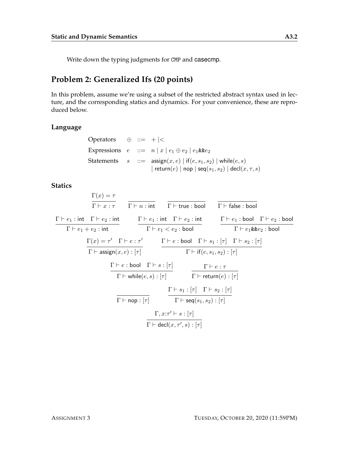Write down the typing judgments for CMP and casecmp.

### **Problem 2: Generalized Ifs (20 points)**

In this problem, assume we're using a subset of the restricted abstract syntax used in lecture, and the corresponding statics and dynamics. For your convenience, these are reproduced below.

#### **Language**

| Operators $\oplus ::= + <$ |  |                                                                                       |
|----------------------------|--|---------------------------------------------------------------------------------------|
|                            |  | Expressions $e ::= n   x   e_1 \oplus e_2   e_1 \& e_2$                               |
|                            |  | Statements $s ::= \text{assign}(x, e)   \text{ if}(e, s_1, s_2)   \text{while}(e, s)$ |
|                            |  | return $(e)$   nop   seq $(s_1, s_2)$   decl $(x, \tau, s)$                           |

#### **Statics**

 $\Gamma(x)=\tau$  $\Gamma \vdash x : \tau$   $\Gamma \vdash n : \mathsf{int}$   $\Gamma \vdash \mathsf{true} : \mathsf{bool}$   $\Gamma \vdash \mathsf{false} : \mathsf{bool}$  $\Gamma \vdash e_1 : \mathsf{int} \quad \Gamma \vdash e_2 : \mathsf{int}$  $\Gamma \vdash e_1 + e_2 : \mathsf{int}$  $\Gamma \vdash e_1 : \mathsf{int} \quad \Gamma \vdash e_2 : \mathsf{int}$  $\Gamma \vdash e_1 < e_2:$  bool  $\Gamma \vdash e_1 : \textsf{bool} \quad \Gamma \vdash e_2 : \textsf{bool}$  $\Gamma \vdash e_1$ && $e_2:$  bool  $\Gamma(x) = \tau' \quad \Gamma \vdash e : \tau'$  $\Gamma \vdash \mathsf{assign}(x, e) : [\tau]$  $\Gamma \vdash e :$  bool  $\Gamma \vdash s_1 : [\tau] \quad \Gamma \vdash s_2 : [\tau]$  $\Gamma \vdash \mathsf{if}(e, s_1, s_2) : [\tau]$  $\Gamma \vdash e : \textsf{bool} \quad \Gamma \vdash s : [\tau]$  $\Gamma \vdash \mathsf{while}(e, s) : [\tau]$  $\Gamma \vdash e : \tau$  $\Gamma \vdash \mathsf{return}(e) : [\tau]$  $\Gamma \vdash$  nop :  $[\tau]$  $\Gamma \vdash s_1 : [\tau] \quad \Gamma \vdash s_2 : [\tau]$  $\Gamma \vdash \mathsf{seq}(s_1, s_2) : [\tau]$  $\Gamma, x:\tau' \vdash s : [\tau]$  $\Gamma \vdash \mathsf{decl}(x, \tau', s) : [\tau]$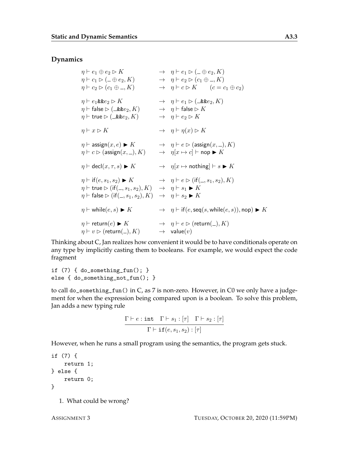#### **Dynamics**

$$
\begin{array}{lcll} \eta \vdash e_{1} \oplus e_{2} \rhd K & \to & \eta \vdash e_{1} \rhd (\bot \oplus e_{2}, K) \\ \eta \vdash c_{1} \rhd (\bot \oplus e_{2}, K) & \to & \eta \vdash e_{2} \rhd (c_{1} \oplus \bot, K) \\ \eta \vdash c_{2} \rhd (c_{1} \oplus \bot, K) & \to & \eta \vdash c \rhd K & (c = c_{1} \oplus c_{2}) \\ \eta \vdash e_{1} \& e_{2} \rhd K & \to & \eta \vdash e_{1} \rhd (\bot \& e_{2}, K) \\ \eta \vdash \text{false} \rhd (\bot \& e_{2}, K) & \to & \eta \vdash \text{false} \rhd K \\ \eta \vdash \text{true} \rhd (\bot \& e_{2}, K) & \to & \eta \vdash e_{2} \rhd K \\ \eta \vdash x \rhd K & \to & \eta \vdash \eta(x) \rhd K \\ \eta \vdash \text{assign}(x, e) \blacktriangleright K & \to & \eta \vdash e \rhd (\text{assign}(x, \bot), K) \\ \eta \vdash c \rhd (\text{assign}(x, \bot), K) & \to & \eta[x \mapsto c] \vdash \text{nop} \blacktriangleright K \\ \eta \vdash \text{dec}(x, \tau, s) \blacktriangleright K & \to & \eta[x \mapsto \text{nothing} \vdash \text{top} \blacktriangleright K \\ \eta \vdash \text{file}(e, s_{1}, s_{2}) \blacktriangleright K & \to & \eta[x \mapsto \text{nothing} \vdash \text{inf}(L, s_{1}, s_{2}), K) \\ \eta \vdash \text{true} \rhd (\text{if}(\bot, s_{1}, s_{2}), K) & \to & \eta \vdash s_{1} \blacktriangleright K \\ \eta \vdash \text{false} \rhd (\text{if}(\bot, s_{1}, s_{2}), K) & \to & \eta \vdash s_{2} \blacktriangleright K \\ \eta \vdash \text{while}(e, s) \blacktriangleright K & \to & \eta \vdash \text{if}(e, \text{seq}(s, \text{while}(e, s)), \text{nop}) \blacktriangleright K \\ \eta \vdash \text{return}(e) \blacktriangleright K & \to & \eta \vdash e \triangleright (\text{return}(\bot), K) \\ \eta \vdash v \triangleright (\text
$$

Thinking about C, Jan realizes how convenient it would be to have conditionals operate on any type by implicitly casting them to booleans. For example, we would expect the code fragment

if (7) { do\_something\_fun(); } else { do\_something\_not\_fun(); }

to call do\_something\_fun() in C, as 7 is non-zero. However, in C0 we only have a judgement for when the expression being compared upon is a boolean. To solve this problem, Jan adds a new typing rule

$$
\frac{\Gamma \vdash e : \texttt{int} \quad \Gamma \vdash s_1 : [\tau] \quad \Gamma \vdash s_2 : [\tau]}{\Gamma \vdash \texttt{if}(e, s_1, s_2) : [\tau]}
$$

However, when he runs a small program using the semantics, the program gets stuck.

```
if (7) {
   return 1;
} else {
    return 0;
}
```
1. What could be wrong?